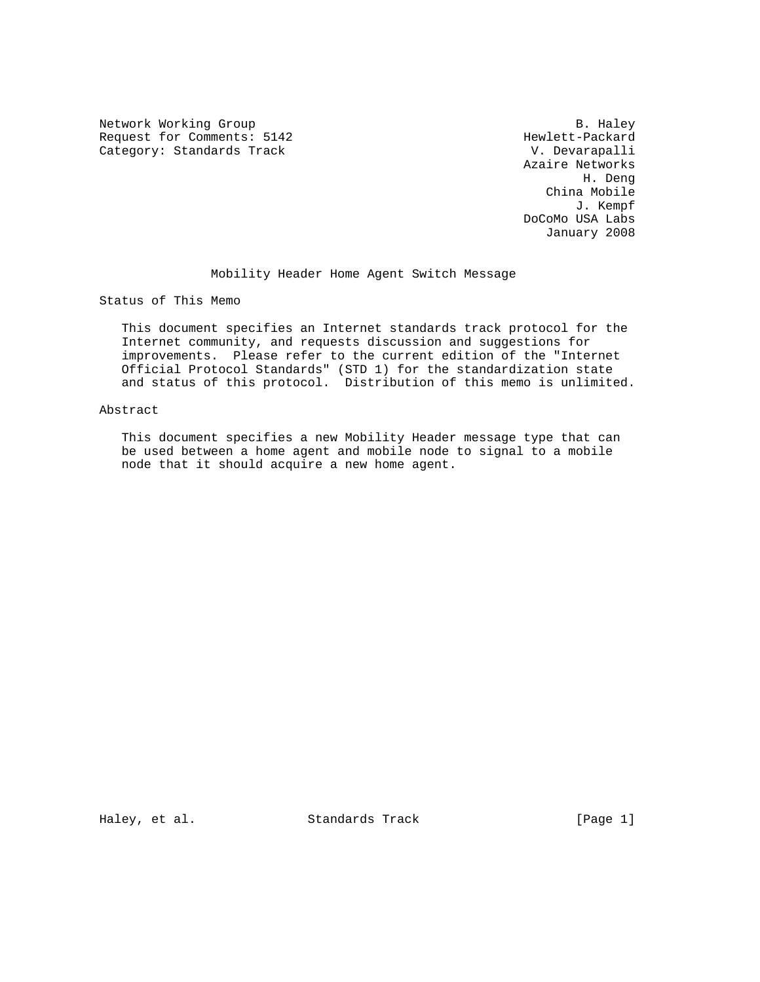Network Working Group and the set of the set of the set of the set of the set of the set of the set of the set of the set of the set of the set of the set of the set of the set of the set of the set of the set of the set o Request for Comments: 5142 Hewlett-Packard (attegory: Standards Track Mexical Category: Standards Track Category: Standards Track

 Azaire Networks H. Deng China Mobile J. Kempf DoCoMo USA Labs January 2008

Mobility Header Home Agent Switch Message

Status of This Memo

 This document specifies an Internet standards track protocol for the Internet community, and requests discussion and suggestions for improvements. Please refer to the current edition of the "Internet Official Protocol Standards" (STD 1) for the standardization state and status of this protocol. Distribution of this memo is unlimited.

## Abstract

 This document specifies a new Mobility Header message type that can be used between a home agent and mobile node to signal to a mobile node that it should acquire a new home agent.

Haley, et al. Standards Track [Page 1]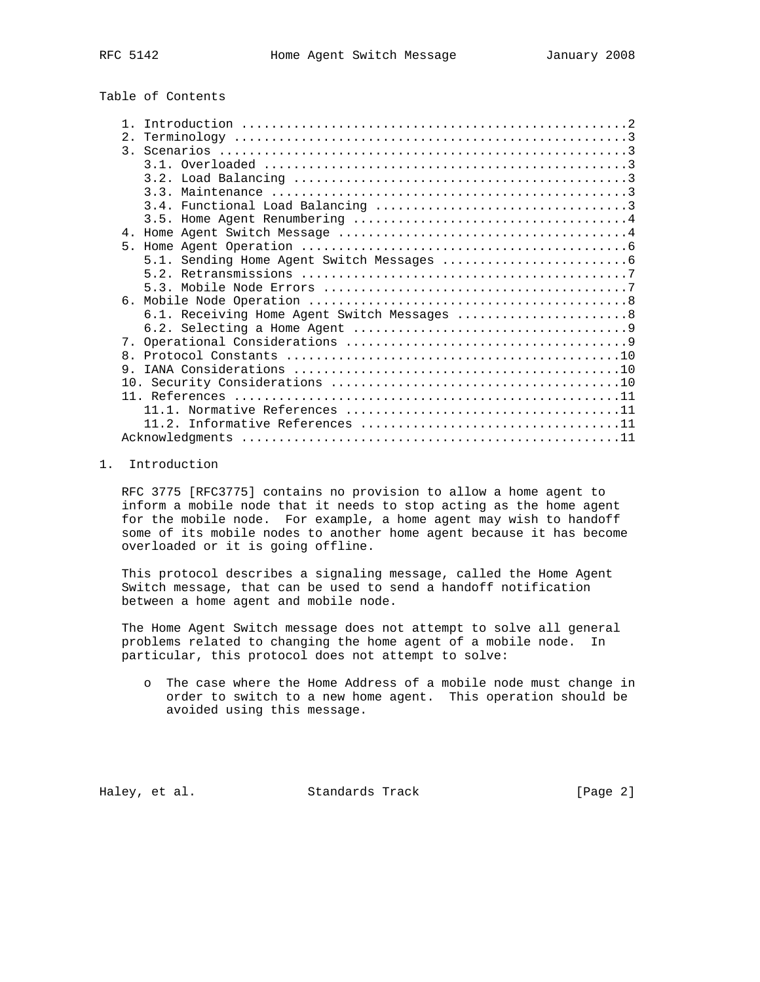# Table of Contents

| 2.             |                                              |
|----------------|----------------------------------------------|
|                |                                              |
|                |                                              |
|                |                                              |
|                |                                              |
|                |                                              |
|                |                                              |
|                |                                              |
|                |                                              |
|                |                                              |
|                |                                              |
|                |                                              |
|                |                                              |
|                | 6.1. Receiving Home Agent Switch Messages  8 |
|                |                                              |
|                |                                              |
| 8 <sub>1</sub> |                                              |
| 9              |                                              |
|                |                                              |
|                |                                              |
|                |                                              |
|                |                                              |
|                |                                              |

## 1. Introduction

 RFC 3775 [RFC3775] contains no provision to allow a home agent to inform a mobile node that it needs to stop acting as the home agent for the mobile node. For example, a home agent may wish to handoff some of its mobile nodes to another home agent because it has become overloaded or it is going offline.

 This protocol describes a signaling message, called the Home Agent Switch message, that can be used to send a handoff notification between a home agent and mobile node.

 The Home Agent Switch message does not attempt to solve all general problems related to changing the home agent of a mobile node. In particular, this protocol does not attempt to solve:

 o The case where the Home Address of a mobile node must change in order to switch to a new home agent. This operation should be avoided using this message.

Haley, et al. Standards Track [Page 2]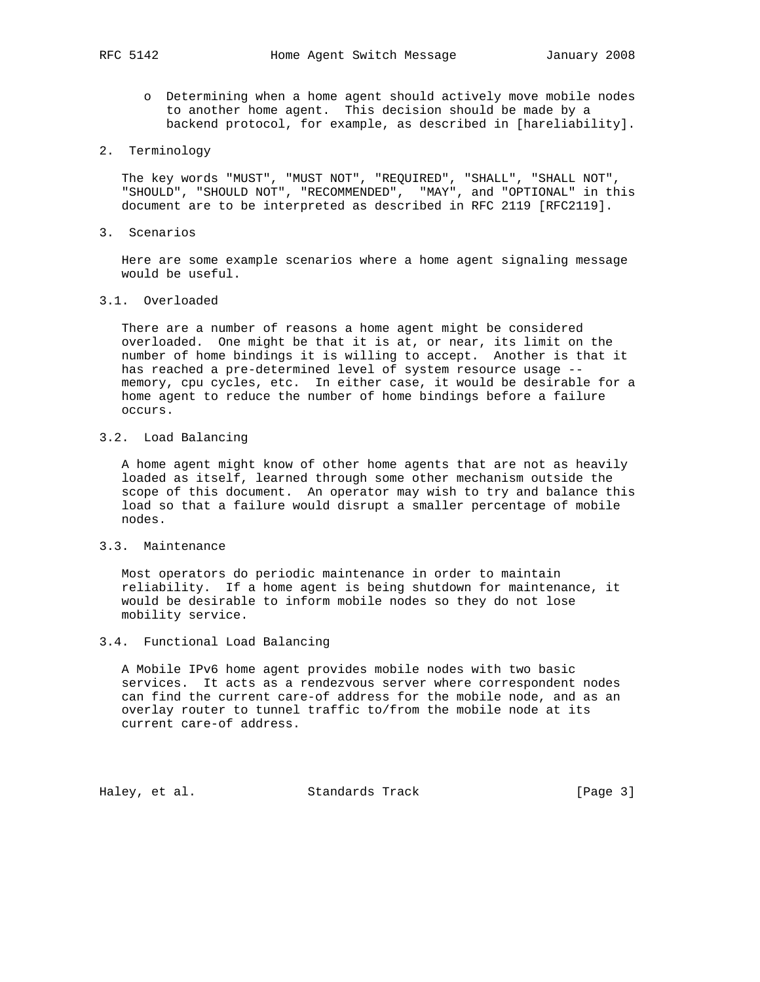- o Determining when a home agent should actively move mobile nodes to another home agent. This decision should be made by a backend protocol, for example, as described in [hareliability].
- 2. Terminology

 The key words "MUST", "MUST NOT", "REQUIRED", "SHALL", "SHALL NOT", "SHOULD", "SHOULD NOT", "RECOMMENDED", "MAY", and "OPTIONAL" in this document are to be interpreted as described in RFC 2119 [RFC2119].

3. Scenarios

 Here are some example scenarios where a home agent signaling message would be useful.

3.1. Overloaded

 There are a number of reasons a home agent might be considered overloaded. One might be that it is at, or near, its limit on the number of home bindings it is willing to accept. Another is that it has reached a pre-determined level of system resource usage - memory, cpu cycles, etc. In either case, it would be desirable for a home agent to reduce the number of home bindings before a failure occurs.

3.2. Load Balancing

 A home agent might know of other home agents that are not as heavily loaded as itself, learned through some other mechanism outside the scope of this document. An operator may wish to try and balance this load so that a failure would disrupt a smaller percentage of mobile nodes.

3.3. Maintenance

 Most operators do periodic maintenance in order to maintain reliability. If a home agent is being shutdown for maintenance, it would be desirable to inform mobile nodes so they do not lose mobility service.

#### 3.4. Functional Load Balancing

 A Mobile IPv6 home agent provides mobile nodes with two basic services. It acts as a rendezvous server where correspondent nodes can find the current care-of address for the mobile node, and as an overlay router to tunnel traffic to/from the mobile node at its current care-of address.

Haley, et al. Standards Track [Page 3]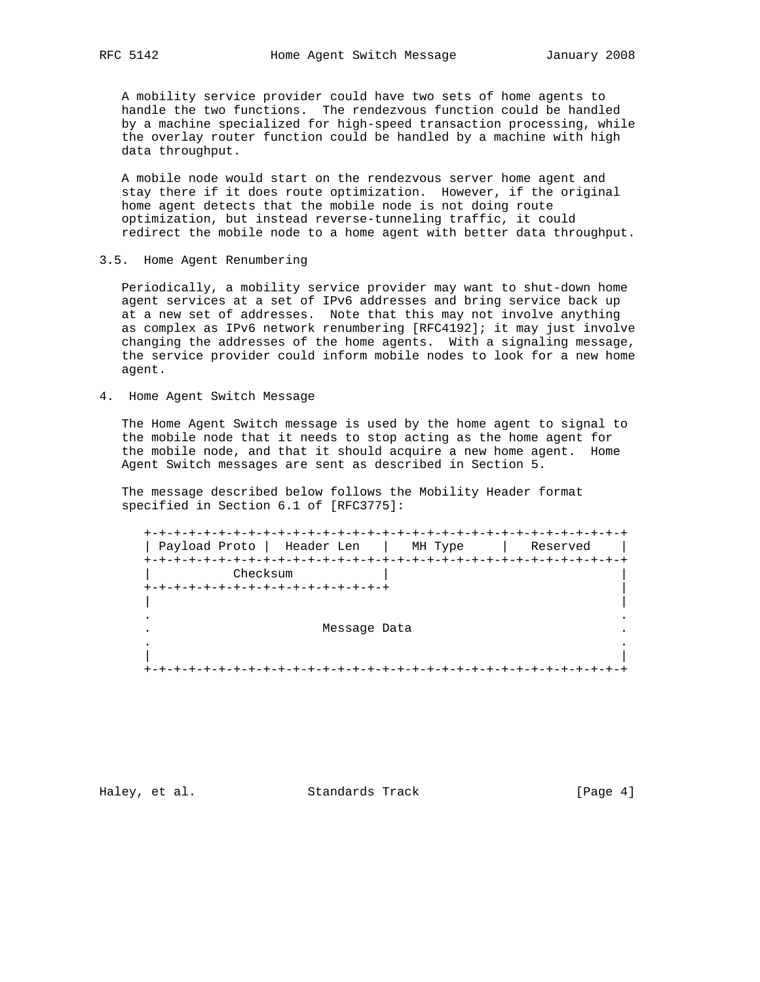A mobility service provider could have two sets of home agents to handle the two functions. The rendezvous function could be handled by a machine specialized for high-speed transaction processing, while the overlay router function could be handled by a machine with high data throughput.

 A mobile node would start on the rendezvous server home agent and stay there if it does route optimization. However, if the original home agent detects that the mobile node is not doing route optimization, but instead reverse-tunneling traffic, it could redirect the mobile node to a home agent with better data throughput.

3.5. Home Agent Renumbering

 Periodically, a mobility service provider may want to shut-down home agent services at a set of IPv6 addresses and bring service back up at a new set of addresses. Note that this may not involve anything as complex as IPv6 network renumbering [RFC4192]; it may just involve changing the addresses of the home agents. With a signaling message, the service provider could inform mobile nodes to look for a new home agent.

4. Home Agent Switch Message

 The Home Agent Switch message is used by the home agent to signal to the mobile node that it needs to stop acting as the home agent for the mobile node, and that it should acquire a new home agent. Home Agent Switch messages are sent as described in Section 5.

 The message described below follows the Mobility Header format specified in Section 6.1 of [RFC3775]:

 +-+-+-+-+-+-+-+-+-+-+-+-+-+-+-+-+-+-+-+-+-+-+-+-+-+-+-+-+-+-+-+-+ | Payload Proto | Header Len | MH Type | Reserved | +-+-+-+-+-+-+-+-+-+-+-+-+-+-+-+-+-+-+-+-+-+-+-+-+-+-+-+-+-+-+-+-+ Checksum +-+-+-+-+-+-+-+-+-+-+-+-+-+-+-+-+ | | | . . Message Data . . | | +-+-+-+-+-+-+-+-+-+-+-+-+-+-+-+-+-+-+-+-+-+-+-+-+-+-+-+-+-+-+-+-+

Haley, et al. Standards Track [Page 4]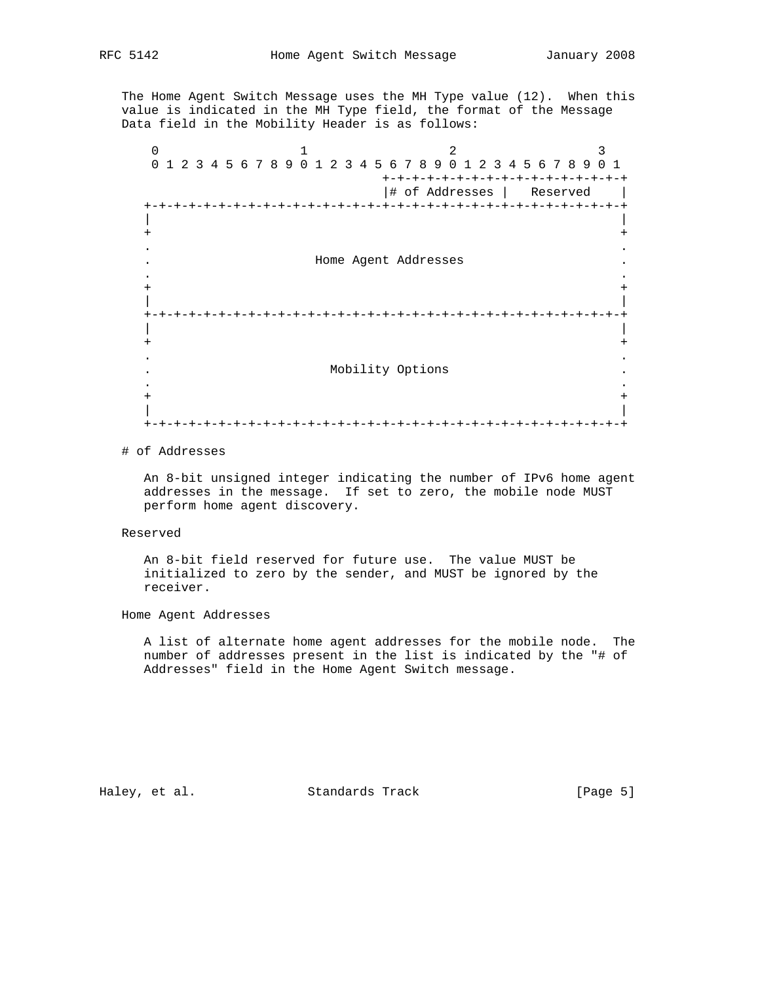The Home Agent Switch Message uses the MH Type value (12). When this value is indicated in the MH Type field, the format of the Message Data field in the Mobility Header is as follows:

 $0$  1 2 3 0 1 2 3 4 5 6 7 8 9 0 1 2 3 4 5 6 7 8 9 0 1 2 3 4 5 6 7 8 9 0 1 +-+-+-+-+-+-+-+-+-+-+-+-+-+-+-+-+ |# of Addresses | Reserved | +-+-+-+-+-+-+-+-+-+-+-+-+-+-+-+-+-+-+-+-+-+-+-+-+-+-+-+-+-+-+-+-+ | | + + . . . Home Agent Addresses . . . + + | | +-+-+-+-+-+-+-+-+-+-+-+-+-+-+-+-+-+-+-+-+-+-+-+-+-+-+-+-+-+-+-+-+ | | + + . . . Mobility Options . . . + + | | +-+-+-+-+-+-+-+-+-+-+-+-+-+-+-+-+-+-+-+-+-+-+-+-+-+-+-+-+-+-+-+-+

#### # of Addresses

 An 8-bit unsigned integer indicating the number of IPv6 home agent addresses in the message. If set to zero, the mobile node MUST perform home agent discovery.

#### Reserved

 An 8-bit field reserved for future use. The value MUST be initialized to zero by the sender, and MUST be ignored by the receiver.

## Home Agent Addresses

 A list of alternate home agent addresses for the mobile node. The number of addresses present in the list is indicated by the "# of Addresses" field in the Home Agent Switch message.

Haley, et al. Standards Track [Page 5]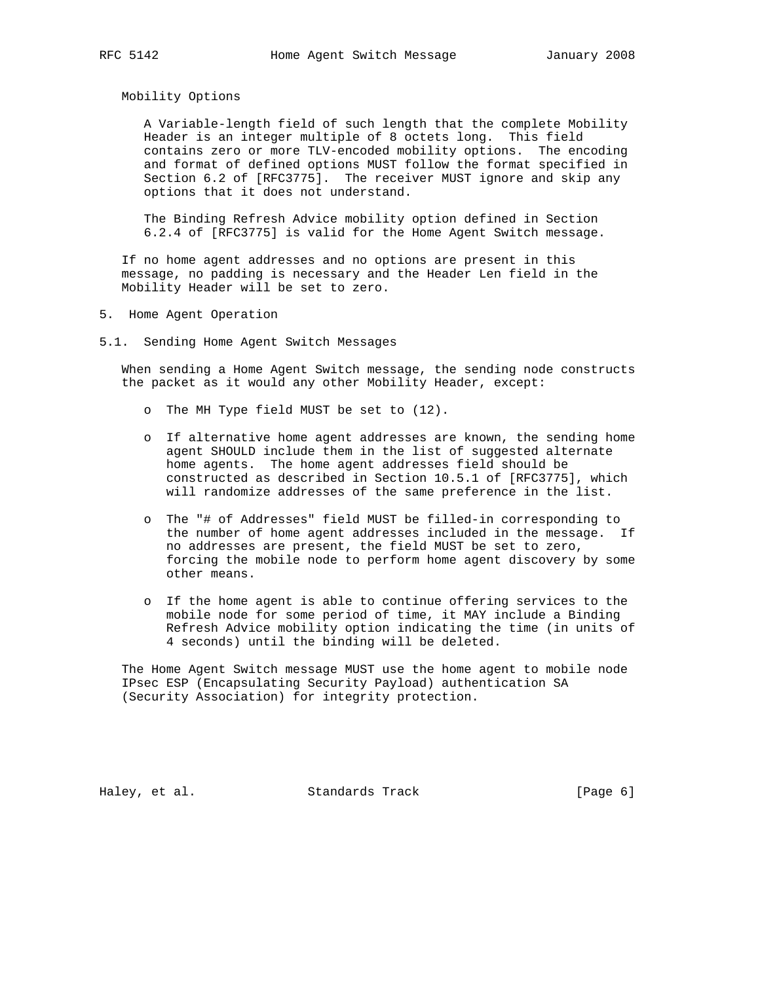Mobility Options

 A Variable-length field of such length that the complete Mobility Header is an integer multiple of 8 octets long. This field contains zero or more TLV-encoded mobility options. The encoding and format of defined options MUST follow the format specified in Section 6.2 of [RFC3775]. The receiver MUST ignore and skip any options that it does not understand.

 The Binding Refresh Advice mobility option defined in Section 6.2.4 of [RFC3775] is valid for the Home Agent Switch message.

 If no home agent addresses and no options are present in this message, no padding is necessary and the Header Len field in the Mobility Header will be set to zero.

- 5. Home Agent Operation
- 5.1. Sending Home Agent Switch Messages

 When sending a Home Agent Switch message, the sending node constructs the packet as it would any other Mobility Header, except:

- o The MH Type field MUST be set to (12).
- o If alternative home agent addresses are known, the sending home agent SHOULD include them in the list of suggested alternate home agents. The home agent addresses field should be constructed as described in Section 10.5.1 of [RFC3775], which will randomize addresses of the same preference in the list.
- o The "# of Addresses" field MUST be filled-in corresponding to the number of home agent addresses included in the message. If no addresses are present, the field MUST be set to zero, forcing the mobile node to perform home agent discovery by some other means.
- o If the home agent is able to continue offering services to the mobile node for some period of time, it MAY include a Binding Refresh Advice mobility option indicating the time (in units of 4 seconds) until the binding will be deleted.

 The Home Agent Switch message MUST use the home agent to mobile node IPsec ESP (Encapsulating Security Payload) authentication SA (Security Association) for integrity protection.

Haley, et al. Standards Track [Page 6]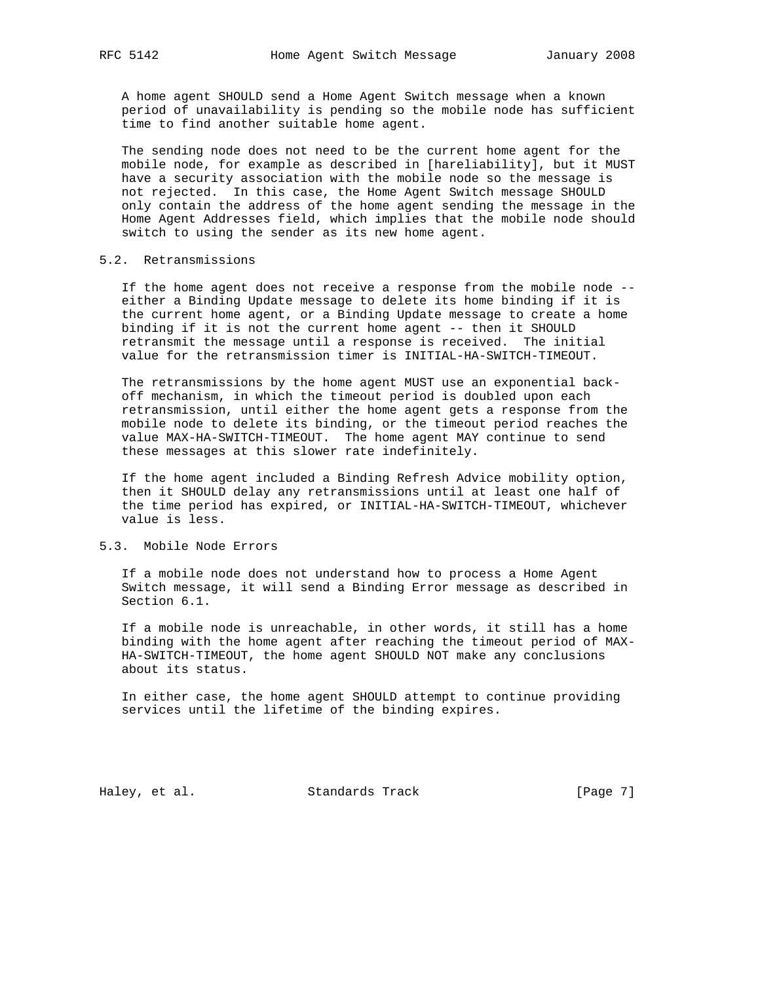A home agent SHOULD send a Home Agent Switch message when a known period of unavailability is pending so the mobile node has sufficient time to find another suitable home agent.

 The sending node does not need to be the current home agent for the mobile node, for example as described in [hareliability], but it MUST have a security association with the mobile node so the message is not rejected. In this case, the Home Agent Switch message SHOULD only contain the address of the home agent sending the message in the Home Agent Addresses field, which implies that the mobile node should switch to using the sender as its new home agent.

## 5.2. Retransmissions

 If the home agent does not receive a response from the mobile node - either a Binding Update message to delete its home binding if it is the current home agent, or a Binding Update message to create a home binding if it is not the current home agent -- then it SHOULD retransmit the message until a response is received. The initial value for the retransmission timer is INITIAL-HA-SWITCH-TIMEOUT.

 The retransmissions by the home agent MUST use an exponential back off mechanism, in which the timeout period is doubled upon each retransmission, until either the home agent gets a response from the mobile node to delete its binding, or the timeout period reaches the value MAX-HA-SWITCH-TIMEOUT. The home agent MAY continue to send these messages at this slower rate indefinitely.

 If the home agent included a Binding Refresh Advice mobility option, then it SHOULD delay any retransmissions until at least one half of the time period has expired, or INITIAL-HA-SWITCH-TIMEOUT, whichever value is less.

## 5.3. Mobile Node Errors

 If a mobile node does not understand how to process a Home Agent Switch message, it will send a Binding Error message as described in Section 6.1.

 If a mobile node is unreachable, in other words, it still has a home binding with the home agent after reaching the timeout period of MAX- HA-SWITCH-TIMEOUT, the home agent SHOULD NOT make any conclusions about its status.

 In either case, the home agent SHOULD attempt to continue providing services until the lifetime of the binding expires.

Haley, et al. Standards Track [Page 7]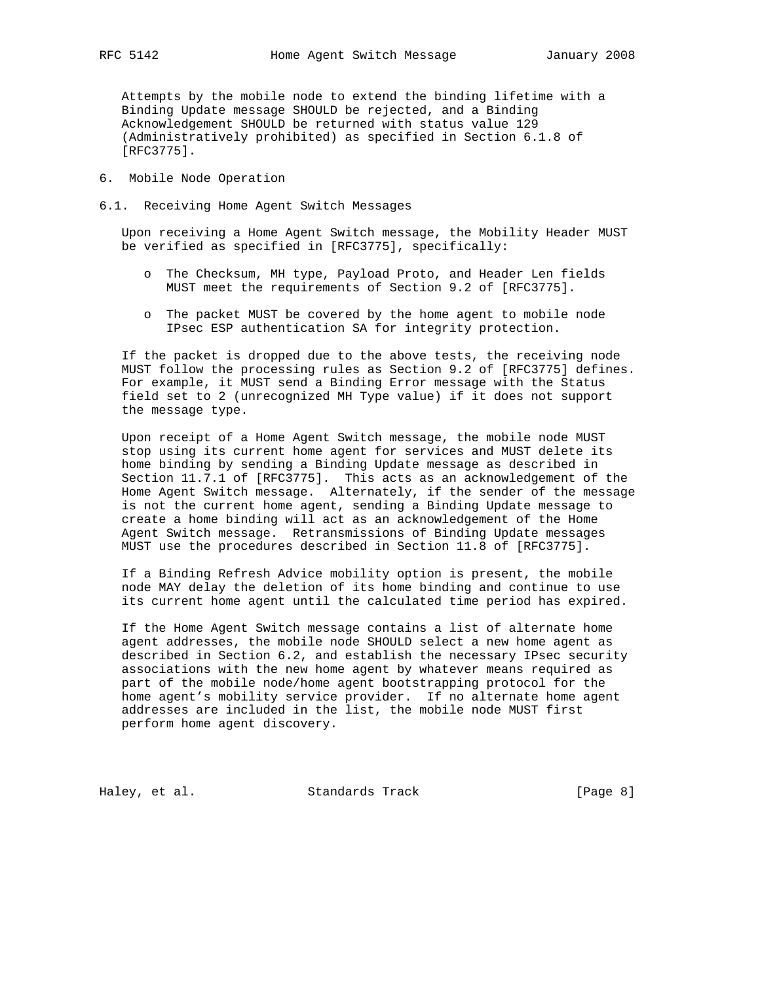Attempts by the mobile node to extend the binding lifetime with a Binding Update message SHOULD be rejected, and a Binding Acknowledgement SHOULD be returned with status value 129 (Administratively prohibited) as specified in Section 6.1.8 of [RFC3775].

- 6. Mobile Node Operation
- 6.1. Receiving Home Agent Switch Messages

 Upon receiving a Home Agent Switch message, the Mobility Header MUST be verified as specified in [RFC3775], specifically:

- o The Checksum, MH type, Payload Proto, and Header Len fields MUST meet the requirements of Section 9.2 of [RFC3775].
- o The packet MUST be covered by the home agent to mobile node IPsec ESP authentication SA for integrity protection.

 If the packet is dropped due to the above tests, the receiving node MUST follow the processing rules as Section 9.2 of [RFC3775] defines. For example, it MUST send a Binding Error message with the Status field set to 2 (unrecognized MH Type value) if it does not support the message type.

 Upon receipt of a Home Agent Switch message, the mobile node MUST stop using its current home agent for services and MUST delete its home binding by sending a Binding Update message as described in Section 11.7.1 of [RFC3775]. This acts as an acknowledgement of the Home Agent Switch message. Alternately, if the sender of the message is not the current home agent, sending a Binding Update message to create a home binding will act as an acknowledgement of the Home Agent Switch message. Retransmissions of Binding Update messages MUST use the procedures described in Section 11.8 of [RFC3775].

 If a Binding Refresh Advice mobility option is present, the mobile node MAY delay the deletion of its home binding and continue to use its current home agent until the calculated time period has expired.

 If the Home Agent Switch message contains a list of alternate home agent addresses, the mobile node SHOULD select a new home agent as described in Section 6.2, and establish the necessary IPsec security associations with the new home agent by whatever means required as part of the mobile node/home agent bootstrapping protocol for the home agent's mobility service provider. If no alternate home agent addresses are included in the list, the mobile node MUST first perform home agent discovery.

Haley, et al. Standards Track [Page 8]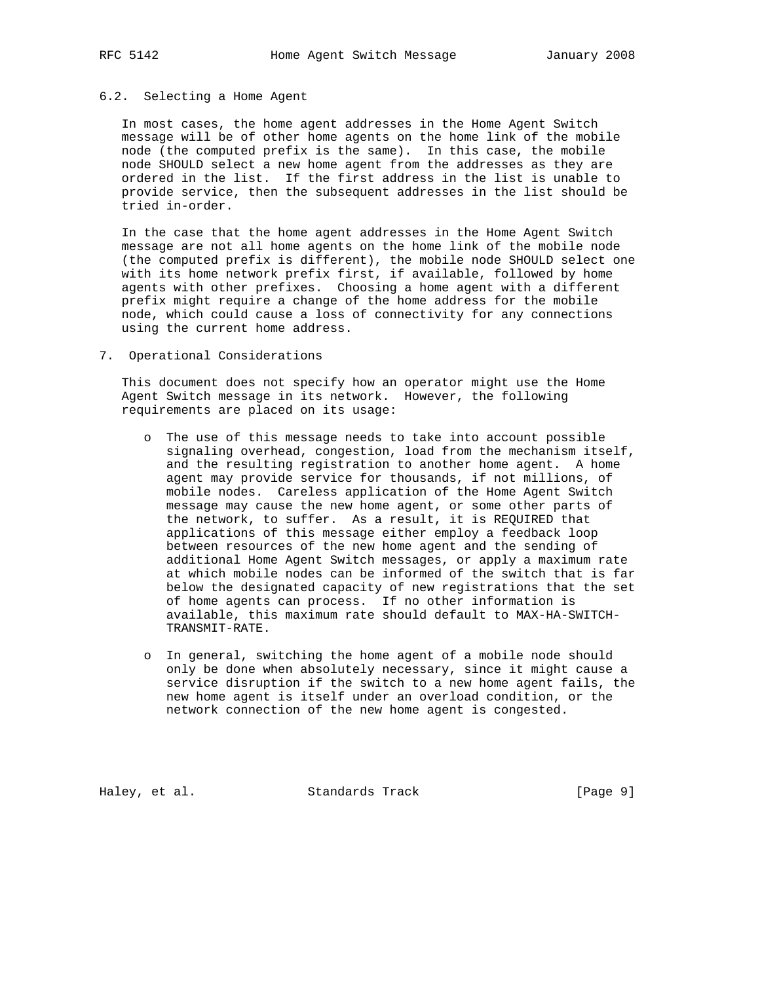#### 6.2. Selecting a Home Agent

 In most cases, the home agent addresses in the Home Agent Switch message will be of other home agents on the home link of the mobile node (the computed prefix is the same). In this case, the mobile node SHOULD select a new home agent from the addresses as they are ordered in the list. If the first address in the list is unable to provide service, then the subsequent addresses in the list should be tried in-order.

 In the case that the home agent addresses in the Home Agent Switch message are not all home agents on the home link of the mobile node (the computed prefix is different), the mobile node SHOULD select one with its home network prefix first, if available, followed by home agents with other prefixes. Choosing a home agent with a different prefix might require a change of the home address for the mobile node, which could cause a loss of connectivity for any connections using the current home address.

7. Operational Considerations

 This document does not specify how an operator might use the Home Agent Switch message in its network. However, the following requirements are placed on its usage:

- o The use of this message needs to take into account possible signaling overhead, congestion, load from the mechanism itself, and the resulting registration to another home agent. A home agent may provide service for thousands, if not millions, of mobile nodes. Careless application of the Home Agent Switch message may cause the new home agent, or some other parts of the network, to suffer. As a result, it is REQUIRED that applications of this message either employ a feedback loop between resources of the new home agent and the sending of additional Home Agent Switch messages, or apply a maximum rate at which mobile nodes can be informed of the switch that is far below the designated capacity of new registrations that the set of home agents can process. If no other information is available, this maximum rate should default to MAX-HA-SWITCH- TRANSMIT-RATE.
- o In general, switching the home agent of a mobile node should only be done when absolutely necessary, since it might cause a service disruption if the switch to a new home agent fails, the new home agent is itself under an overload condition, or the network connection of the new home agent is congested.

Haley, et al. Standards Track [Page 9]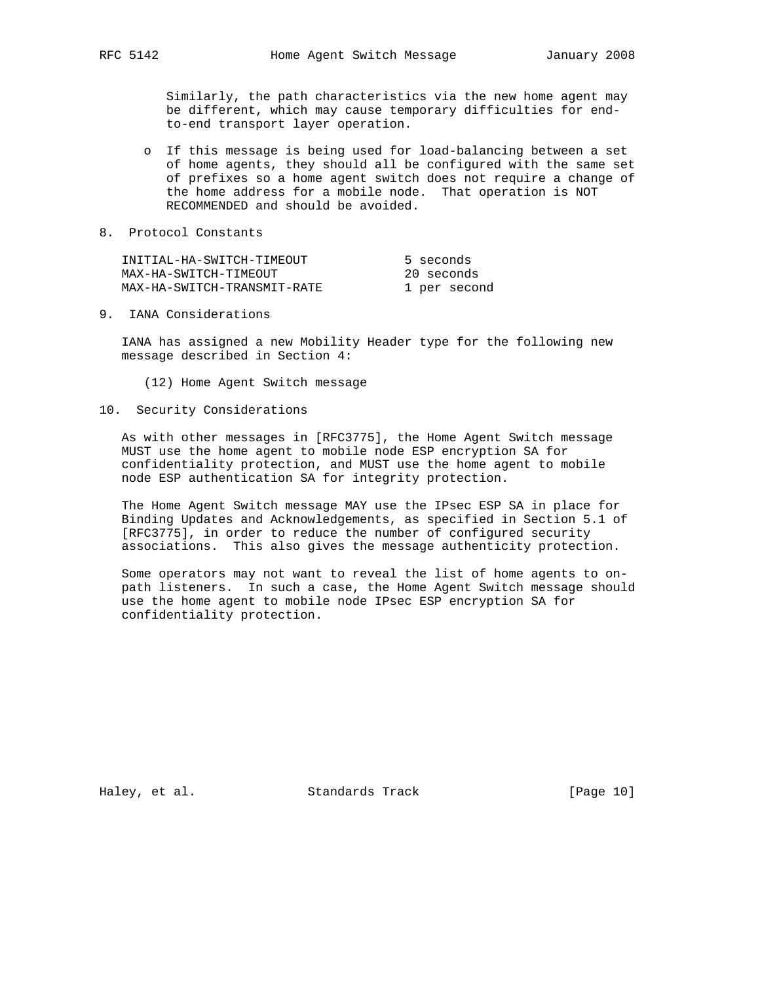Similarly, the path characteristics via the new home agent may be different, which may cause temporary difficulties for end to-end transport layer operation.

- o If this message is being used for load-balancing between a set of home agents, they should all be configured with the same set of prefixes so a home agent switch does not require a change of the home address for a mobile node. That operation is NOT RECOMMENDED and should be avoided.
- 8. Protocol Constants

| INITIAL-HA-SWITCH-TIMEOUT   | 5 seconds    |
|-----------------------------|--------------|
| MAX-HA-SWITCH-TIMEOUT       | 20 seconds   |
| MAX-HA-SWITCH-TRANSMIT-RATE | 1 per second |

9. IANA Considerations

 IANA has assigned a new Mobility Header type for the following new message described in Section 4:

- (12) Home Agent Switch message
- 10. Security Considerations

 As with other messages in [RFC3775], the Home Agent Switch message MUST use the home agent to mobile node ESP encryption SA for confidentiality protection, and MUST use the home agent to mobile node ESP authentication SA for integrity protection.

 The Home Agent Switch message MAY use the IPsec ESP SA in place for Binding Updates and Acknowledgements, as specified in Section 5.1 of [RFC3775], in order to reduce the number of configured security associations. This also gives the message authenticity protection.

 Some operators may not want to reveal the list of home agents to on path listeners. In such a case, the Home Agent Switch message should use the home agent to mobile node IPsec ESP encryption SA for confidentiality protection.

Haley, et al. Standards Track [Page 10]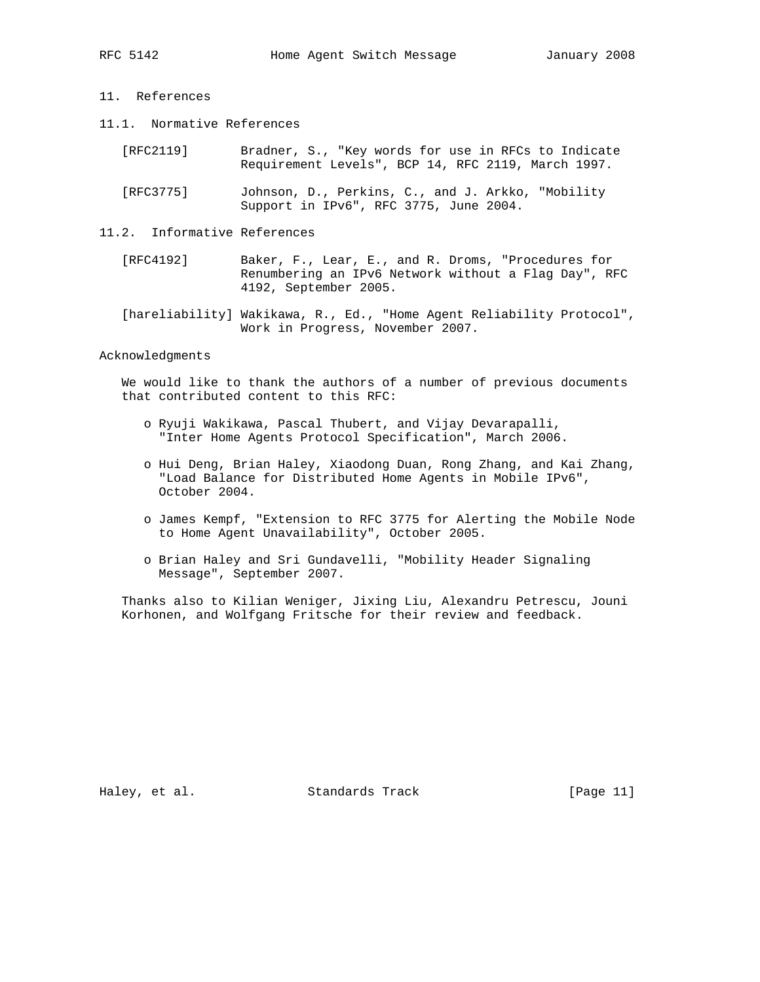- 
- 11. References
- 11.1. Normative References
	- [RFC2119] Bradner, S., "Key words for use in RFCs to Indicate Requirement Levels", BCP 14, RFC 2119, March 1997.
	- [RFC3775] Johnson, D., Perkins, C., and J. Arkko, "Mobility Support in IPv6", RFC 3775, June 2004.
- 11.2. Informative References
	- [RFC4192] Baker, F., Lear, E., and R. Droms, "Procedures for Renumbering an IPv6 Network without a Flag Day", RFC 4192, September 2005.
	- [hareliability] Wakikawa, R., Ed., "Home Agent Reliability Protocol", Work in Progress, November 2007.

Acknowledgments

 We would like to thank the authors of a number of previous documents that contributed content to this RFC:

- o Ryuji Wakikawa, Pascal Thubert, and Vijay Devarapalli, "Inter Home Agents Protocol Specification", March 2006.
- o Hui Deng, Brian Haley, Xiaodong Duan, Rong Zhang, and Kai Zhang, "Load Balance for Distributed Home Agents in Mobile IPv6", October 2004.
- o James Kempf, "Extension to RFC 3775 for Alerting the Mobile Node to Home Agent Unavailability", October 2005.
- o Brian Haley and Sri Gundavelli, "Mobility Header Signaling Message", September 2007.

 Thanks also to Kilian Weniger, Jixing Liu, Alexandru Petrescu, Jouni Korhonen, and Wolfgang Fritsche for their review and feedback.

Haley, et al. Standards Track [Page 11]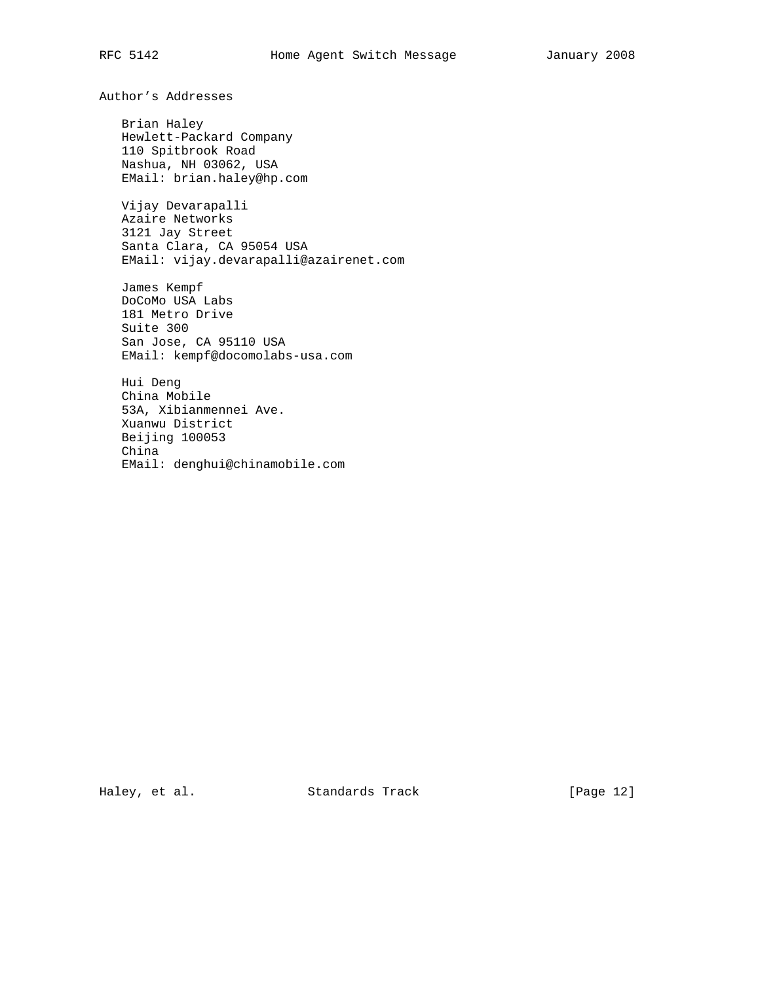Author's Addresses

 Brian Haley Hewlett-Packard Company 110 Spitbrook Road Nashua, NH 03062, USA EMail: brian.haley@hp.com

 Vijay Devarapalli Azaire Networks 3121 Jay Street Santa Clara, CA 95054 USA EMail: vijay.devarapalli@azairenet.com

 James Kempf DoCoMo USA Labs 181 Metro Drive Suite 300 San Jose, CA 95110 USA EMail: kempf@docomolabs-usa.com

 Hui Deng China Mobile 53A, Xibianmennei Ave. Xuanwu District Beijing 100053 China EMail: denghui@chinamobile.com

Haley, et al. Standards Track [Page 12]